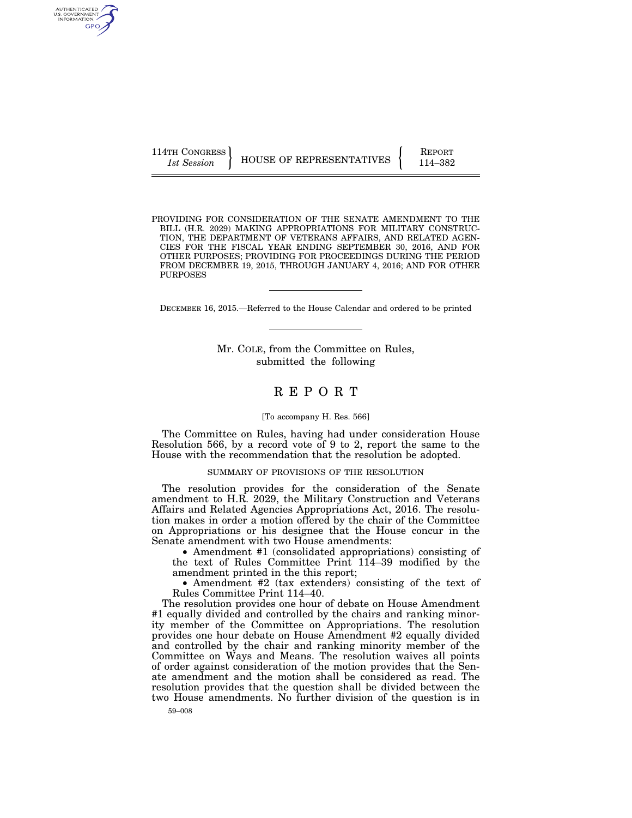AUTHENTICATED<br>U.S. GOVERNMENT<br>INFORMATION GPO

114TH CONGRESS **REPORT 114TH CONGRESS** HOUSE OF REPRESENTATIVES **FULL** 114–382

PROVIDING FOR CONSIDERATION OF THE SENATE AMENDMENT TO THE BILL (H.R. 2029) MAKING APPROPRIATIONS FOR MILITARY CONSTRUC-TION, THE DEPARTMENT OF VETERANS AFFAIRS, AND RELATED AGEN-CIES FOR THE FISCAL YEAR ENDING SEPTEMBER 30, 2016, AND FOR OTHER PURPOSES; PROVIDING FOR PROCEEDINGS DURING THE PERIOD FROM DECEMBER 19, 2015, THROUGH JANUARY 4, 2016; AND FOR OTHER PURPOSES

DECEMBER 16, 2015.—Referred to the House Calendar and ordered to be printed

Mr. COLE, from the Committee on Rules, submitted the following

# R E P O R T

### [To accompany H. Res. 566]

The Committee on Rules, having had under consideration House Resolution 566, by a record vote of 9 to 2, report the same to the House with the recommendation that the resolution be adopted.

### SUMMARY OF PROVISIONS OF THE RESOLUTION

The resolution provides for the consideration of the Senate amendment to H.R. 2029, the Military Construction and Veterans Affairs and Related Agencies Appropriations Act, 2016. The resolution makes in order a motion offered by the chair of the Committee on Appropriations or his designee that the House concur in the Senate amendment with two House amendments:

• Amendment #1 (consolidated appropriations) consisting of the text of Rules Committee Print 114–39 modified by the amendment printed in the this report;

• Amendment #2 (tax extenders) consisting of the text of Rules Committee Print 114–40.

The resolution provides one hour of debate on House Amendment #1 equally divided and controlled by the chairs and ranking minority member of the Committee on Appropriations. The resolution provides one hour debate on House Amendment #2 equally divided and controlled by the chair and ranking minority member of the Committee on Ways and Means. The resolution waives all points of order against consideration of the motion provides that the Senate amendment and the motion shall be considered as read. The resolution provides that the question shall be divided between the two House amendments. No further division of the question is in

59–008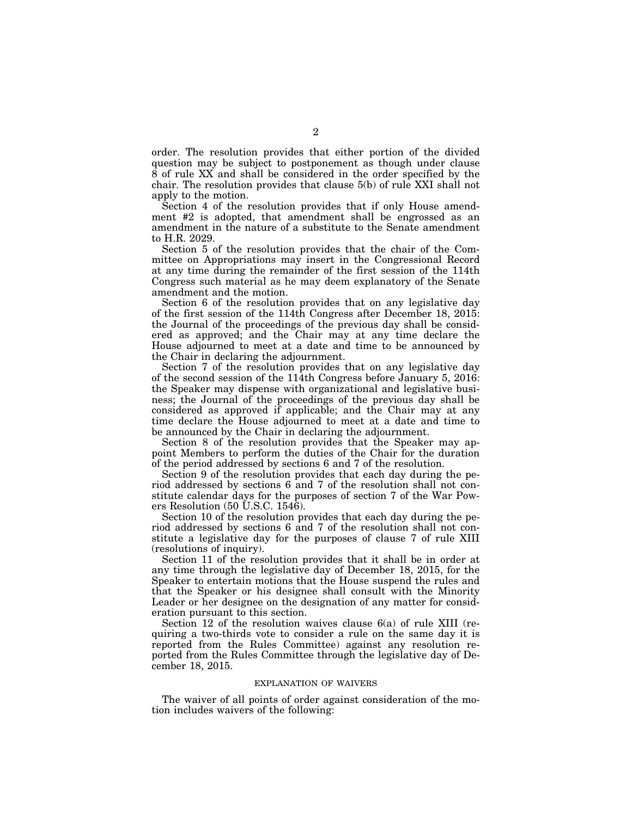order. The resolution provides that either portion of the divided question may be subject to postponement as though under clause 8 of rule XX and shall be considered in the order specified by the chair. The resolution provides that clause 5(b) of rule XXI shall not apply to the motion.

Section 4 of the resolution provides that if only House amendment #2 is adopted, that amendment shall be engrossed as an amendment in the nature of a substitute to the Senate amendment to H.R. 2029.

Section 5 of the resolution provides that the chair of the Committee on Appropriations may insert in the Congressional Record at any time during the remainder of the first session of the 114th Congress such material as he may deem explanatory of the Senate amendment and the motion.

Section 6 of the resolution provides that on any legislative day of the first session of the 114th Congress after December 18, 2015: the Journal of the proceedings of the previous day shall be considered as approved; and the Chair may at any time declare the House adjourned to meet at a date and time to be announced by the Chair in declaring the adjournment.

Section 7 of the resolution provides that on any legislative day of the second session of the 114th Congress before January 5, 2016: the Speaker may dispense with organizational and legislative business; the Journal of the proceedings of the previous day shall be considered as approved if applicable; and the Chair may at any time declare the House adjourned to meet at a date and time to be announced by the Chair in declaring the adjournment.

Section 8 of the resolution provides that the Speaker may appoint Members to perform the duties of the Chair for the duration of the period addressed by sections 6 and 7 of the resolution.

Section 9 of the resolution provides that each day during the period addressed by sections 6 and 7 of the resolution shall not constitute calendar days for the purposes of section 7 of the War Powers Resolution (50 U.S.C. 1546).

Section 10 of the resolution provides that each day during the period addressed by sections 6 and 7 of the resolution shall not constitute a legislative day for the purposes of clause 7 of rule XIII (resolutions of inquiry).

Section 11 of the resolution provides that it shall be in order at any time through the legislative day of December 18, 2015, for the Speaker to entertain motions that the House suspend the rules and that the Speaker or his designee shall consult with the Minority Leader or her designee on the designation of any matter for consideration pursuant to this section.

Section 12 of the resolution waives clause 6(a) of rule XIII (requiring a two-thirds vote to consider a rule on the same day it is reported from the Rules Committee) against any resolution reported from the Rules Committee through the legislative day of December 18, 2015.

### EXPLANATION OF WAIVERS

The waiver of all points of order against consideration of the motion includes waivers of the following: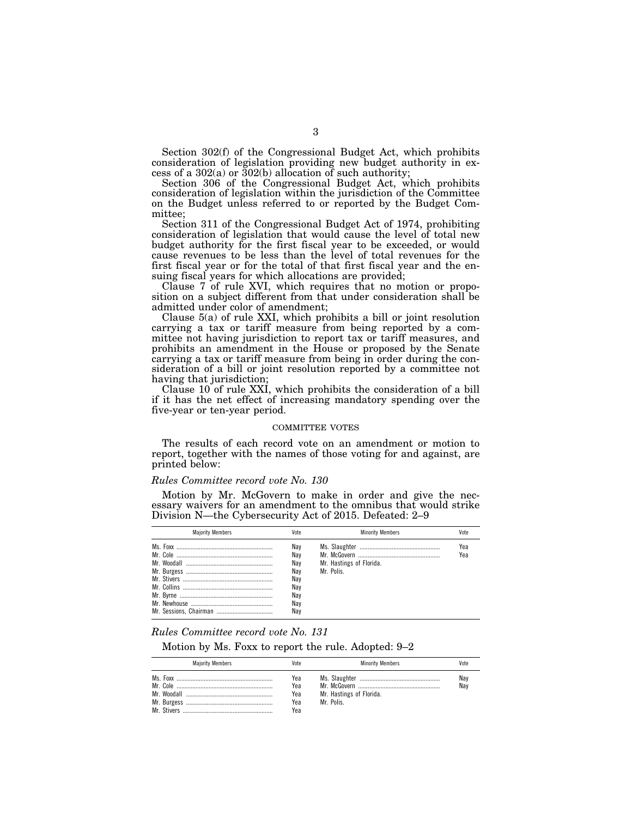Section 302(f) of the Congressional Budget Act, which prohibits consideration of legislation providing new budget authority in excess of a  $302(a)$  or  $302(b)$  allocation of such authority;

Section 306 of the Congressional Budget Act, which prohibits consideration of legislation within the jurisdiction of the Committee on the Budget unless referred to or reported by the Budget Committee;

Section 311 of the Congressional Budget Act of 1974, prohibiting consideration of legislation that would cause the level of total new budget authority for the first fiscal year to be exceeded, or would cause revenues to be less than the level of total revenues for the first fiscal year or for the total of that first fiscal year and the ensuing fiscal years for which allocations are provided;

Clause 7 of rule XVI, which requires that no motion or proposition on a subject different from that under consideration shall be admitted under color of amendment;

Clause 5(a) of rule XXI, which prohibits a bill or joint resolution carrying a tax or tariff measure from being reported by a committee not having jurisdiction to report tax or tariff measures, and prohibits an amendment in the House or proposed by the Senate carrying a tax or tariff measure from being in order during the consideration of a bill or joint resolution reported by a committee not having that jurisdiction;

Clause 10 of rule XXI, which prohibits the consideration of a bill if it has the net effect of increasing mandatory spending over the five-year or ten-year period.

## COMMITTEE VOTES

The results of each record vote on an amendment or motion to report, together with the names of those voting for and against, are printed below:

#### *Rules Committee record vote No. 130*

Motion by Mr. McGovern to make in order and give the necessary waivers for an amendment to the omnibus that would strike Division N—the Cybersecurity Act of 2015. Defeated: 2–9

| <b>Maiority Members</b> | Vote                                                        | <b>Minority Members</b>              | Vote       |
|-------------------------|-------------------------------------------------------------|--------------------------------------|------------|
|                         | Nav<br>Nav<br>Nav<br>Nav<br>Nav<br>Nav<br>Nav<br>Nav<br>Nav | Mr. Hastings of Florida.<br>Mr Polis | Yea<br>Yea |

### *Rules Committee record vote No. 131*

Motion by Ms. Foxx to report the rule. Adopted: 9–2

| <b>Majority Members</b> | Vote                            | <b>Minority Members</b>                | Vote       |
|-------------------------|---------------------------------|----------------------------------------|------------|
|                         | Yea<br>Yea<br>Yea<br>Yea<br>Yea | Mr. Hastings of Florida.<br>Mr. Polis. | Nay<br>Nav |